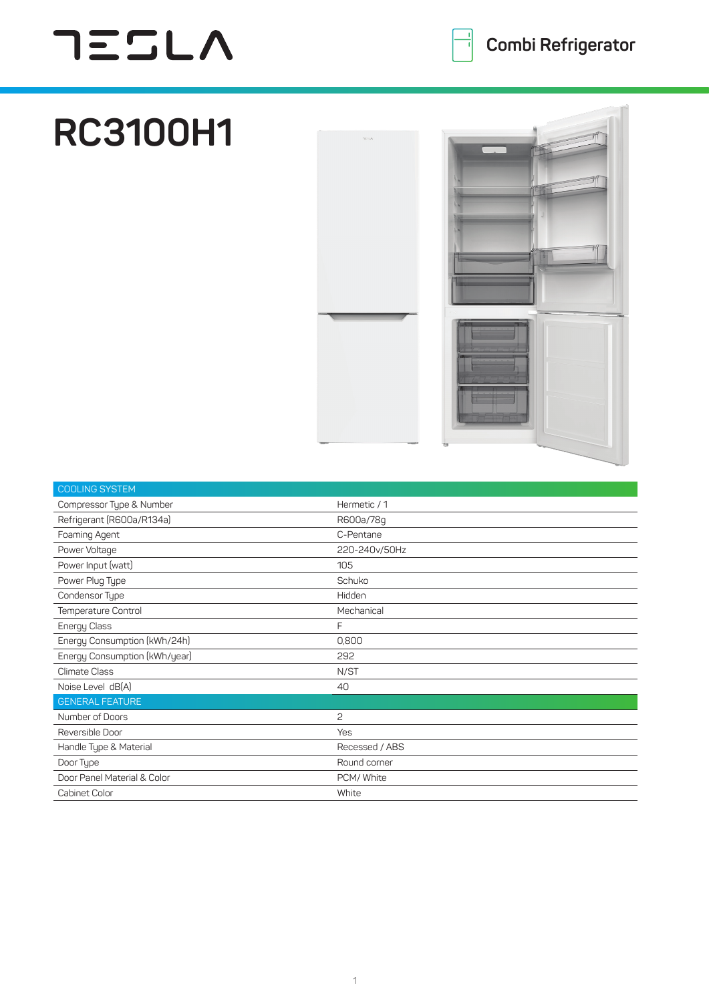## **TESLA**

## **RC3100H1**



| <b>COOLING SYSTEM</b>         |                |
|-------------------------------|----------------|
| Compressor Type & Number      | Hermetic / 1   |
| Refrigerant (R600a/R134a)     | R600a/78q      |
| Foaming Agent                 | C-Pentane      |
| Power Voltage                 | 220-240v/50Hz  |
| Power Input (watt)            | 105            |
| Power Plug Type               | Schuko         |
| Condensor Type                | Hidden         |
| Temperature Control           | Mechanical     |
| Energy Class                  | F              |
| Energy Consumption (kWh/24h)  | 0,800          |
| Energy Consumption (kWh/year) | 292            |
| <b>Climate Class</b>          | N/ST           |
| Noise Level dB(A)             | 40             |
| <b>GENERAL FEATURE</b>        |                |
| Number of Doors               | 2              |
| Reversible Door               | <b>Yes</b>     |
| Handle Type & Material        | Recessed / ABS |
| Door Type                     | Round corner   |
| Door Panel Material & Color   | PCM/ White     |
| Cabinet Color                 | White          |